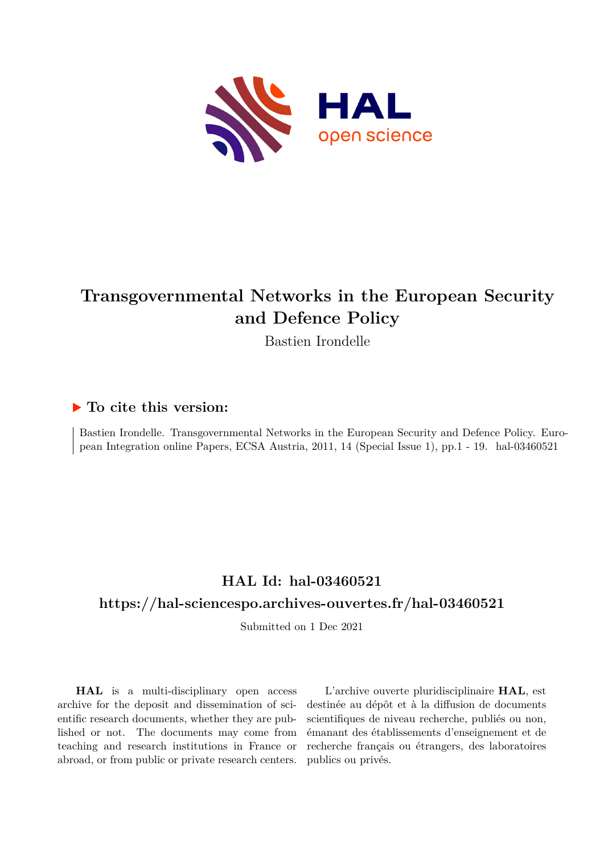

# **Transgovernmental Networks in the European Security and Defence Policy**

Bastien Irondelle

#### **To cite this version:**

Bastien Irondelle. Transgovernmental Networks in the European Security and Defence Policy. European Integration online Papers, ECSA Austria, 2011, 14 (Special Issue 1), pp.1 - 19. hal-03460521

## **HAL Id: hal-03460521 <https://hal-sciencespo.archives-ouvertes.fr/hal-03460521>**

Submitted on 1 Dec 2021

**HAL** is a multi-disciplinary open access archive for the deposit and dissemination of scientific research documents, whether they are published or not. The documents may come from teaching and research institutions in France or abroad, or from public or private research centers.

L'archive ouverte pluridisciplinaire **HAL**, est destinée au dépôt et à la diffusion de documents scientifiques de niveau recherche, publiés ou non, émanant des établissements d'enseignement et de recherche français ou étrangers, des laboratoires publics ou privés.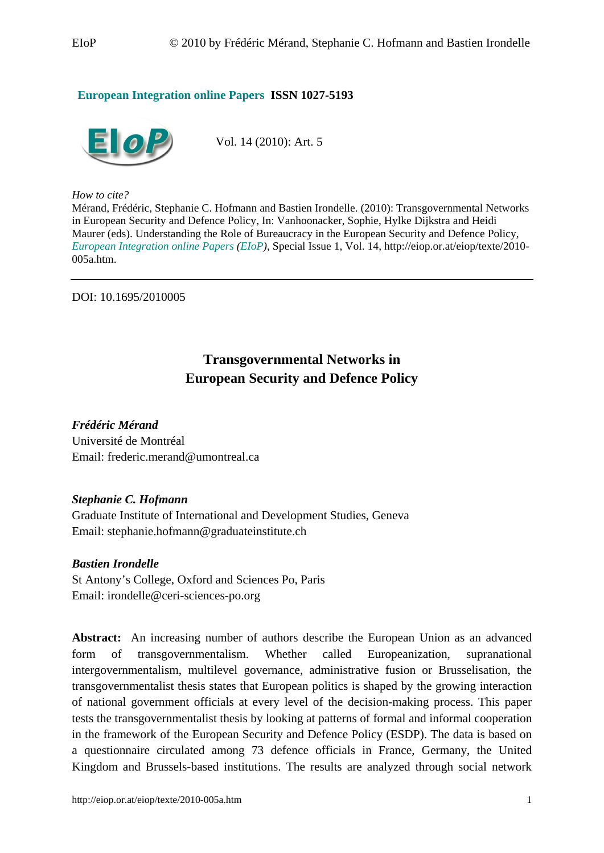#### **European Integration online Papers ISSN 1027-5193**



Vol. 14 (2010): Art. 5

*How to cite?* 

Mérand, Frédéric, Stephanie C. Hofmann and Bastien Irondelle. (2010): Transgovernmental Networks in European Security and Defence Policy, In: Vanhoonacker, Sophie, Hylke Dijkstra and Heidi Maurer (eds). Understanding the Role of Bureaucracy in the European Security and Defence Policy, *European Integration online Papers (EIoP)*, Special Issue 1, Vol. 14, http://eiop.or.at/eiop/texte/2010- 005a.htm.

DOI: 10.1695/2010005

### **Transgovernmental Networks in European Security and Defence Policy**

*Frédéric Mérand*  Université de Montréal Email: frederic.merand@umontreal.ca

#### *Stephanie C. Hofmann*

Graduate Institute of International and Development Studies, Geneva Email: stephanie.hofmann@graduateinstitute.ch

*Bastien Irondelle*  St Antony's College, Oxford and Sciences Po, Paris Email: irondelle@ceri-sciences-po.org

**Abstract:** An increasing number of authors describe the European Union as an advanced form of transgovernmentalism. Whether called Europeanization, supranational intergovernmentalism, multilevel governance, administrative fusion or Brusselisation, the transgovernmentalist thesis states that European politics is shaped by the growing interaction of national government officials at every level of the decision-making process. This paper tests the transgovernmentalist thesis by looking at patterns of formal and informal cooperation in the framework of the European Security and Defence Policy (ESDP). The data is based on a questionnaire circulated among 73 defence officials in France, Germany, the United Kingdom and Brussels-based institutions. The results are analyzed through social network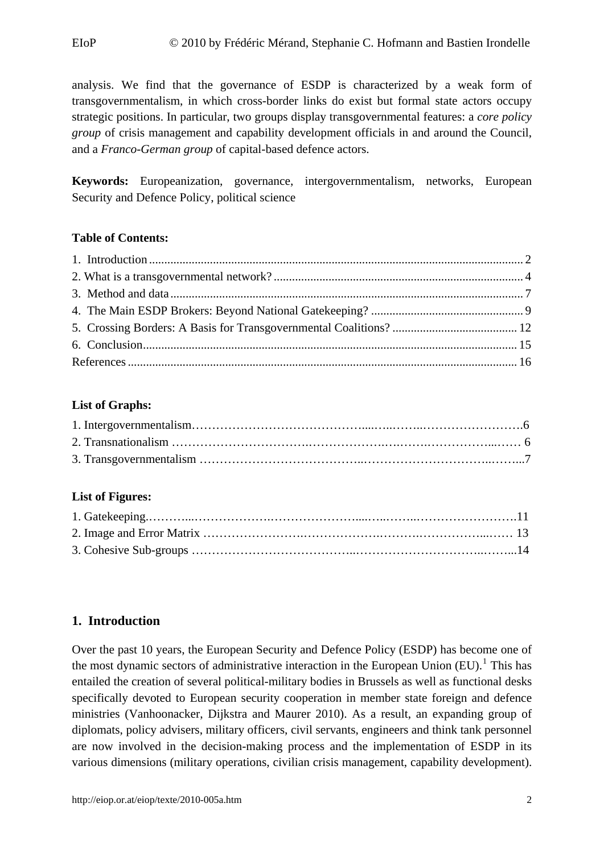<span id="page-2-0"></span>analysis. We find that the governance of ESDP is characterized by a weak form of transgovernmentalism, in which cross-border links do exist but formal state actors occupy strategic positions. In particular, two groups display transgovernmental features: a *core policy group* of crisis management and capability development officials in and around the Council, and a *Franco-German group* of capital-based defence actors.

**Keywords:** Europeanization, governance, intergovernmentalism, networks, European Security and Defence Policy, political science

#### **Table of Contents:**

#### **List of Graphs:**

#### **List of Figures:**

#### **1. Introduction**

Over the past 10 years, the European Security and Defence Policy (ESDP) has become one of the most dynamic sectors of administrative interaction in the European Union  $(EU)$ .<sup>[1](#page-19-0)</sup> This has entailed the creation of several political-military bodies in Brussels as well as functional desks specifically devoted to European security cooperation in member state foreign and defence ministries (Vanhoonacker, Dijkstra and Maurer 2010). As a result, an expanding group of diplomats, policy advisers, military officers, civil servants, engineers and think tank personnel are now involved in the decision-making process and the implementation of ESDP in its various dimensions (military operations, civilian crisis management, capability development).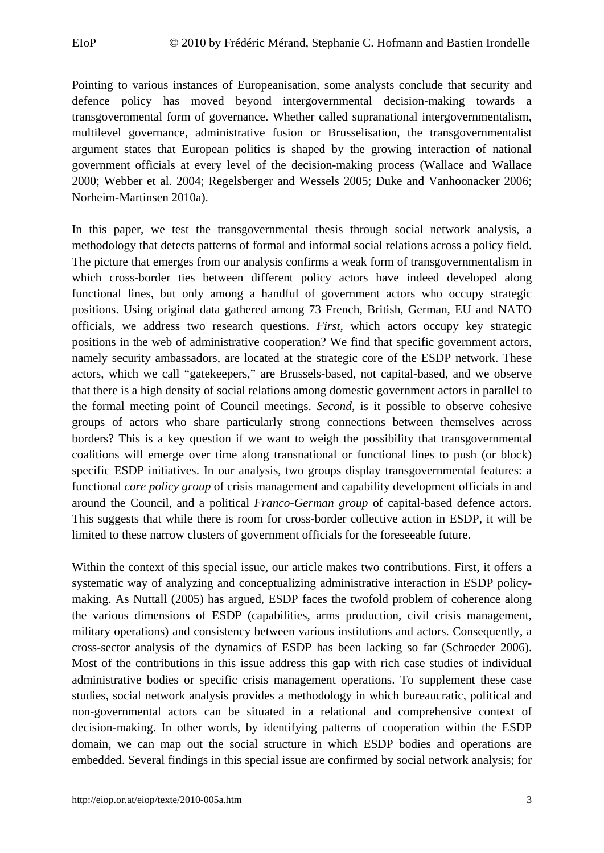Pointing to various instances of Europeanisation, some analysts conclude that security and defence policy has moved beyond intergovernmental decision-making towards a transgovernmental form of governance. Whether called supranational intergovernmentalism, multilevel governance, administrative fusion or Brusselisation, the transgovernmentalist argument states that European politics is shaped by the growing interaction of national government officials at every level of the decision-making process (Wallace and Wallace 2000; Webber et al. 2004; Regelsberger and Wessels 2005; Duke and Vanhoonacker 2006; Norheim-Martinsen 2010a).

In this paper, we test the transgovernmental thesis through social network analysis, a methodology that detects patterns of formal and informal social relations across a policy field. The picture that emerges from our analysis confirms a weak form of transgovernmentalism in which cross-border ties between different policy actors have indeed developed along functional lines, but only among a handful of government actors who occupy strategic positions. Using original data gathered among 73 French, British, German, EU and NATO officials, we address two research questions. *First*, which actors occupy key strategic positions in the web of administrative cooperation? We find that specific government actors, namely security ambassadors, are located at the strategic core of the ESDP network. These actors, which we call "gatekeepers," are Brussels-based, not capital-based, and we observe that there is a high density of social relations among domestic government actors in parallel to the formal meeting point of Council meetings. *Second*, is it possible to observe cohesive groups of actors who share particularly strong connections between themselves across borders? This is a key question if we want to weigh the possibility that transgovernmental coalitions will emerge over time along transnational or functional lines to push (or block) specific ESDP initiatives. In our analysis, two groups display transgovernmental features: a functional *core policy group* of crisis management and capability development officials in and around the Council, and a political *Franco-German group* of capital-based defence actors. This suggests that while there is room for cross-border collective action in ESDP, it will be limited to these narrow clusters of government officials for the foreseeable future.

Within the context of this special issue, our article makes two contributions. First, it offers a systematic way of analyzing and conceptualizing administrative interaction in ESDP policymaking. As Nuttall (2005) has argued, ESDP faces the twofold problem of coherence along the various dimensions of ESDP (capabilities, arms production, civil crisis management, military operations) and consistency between various institutions and actors. Consequently, a cross-sector analysis of the dynamics of ESDP has been lacking so far (Schroeder 2006). Most of the contributions in this issue address this gap with rich case studies of individual administrative bodies or specific crisis management operations. To supplement these case studies, social network analysis provides a methodology in which bureaucratic, political and non-governmental actors can be situated in a relational and comprehensive context of decision-making. In other words, by identifying patterns of cooperation within the ESDP domain, we can map out the social structure in which ESDP bodies and operations are embedded. Several findings in this special issue are confirmed by social network analysis; for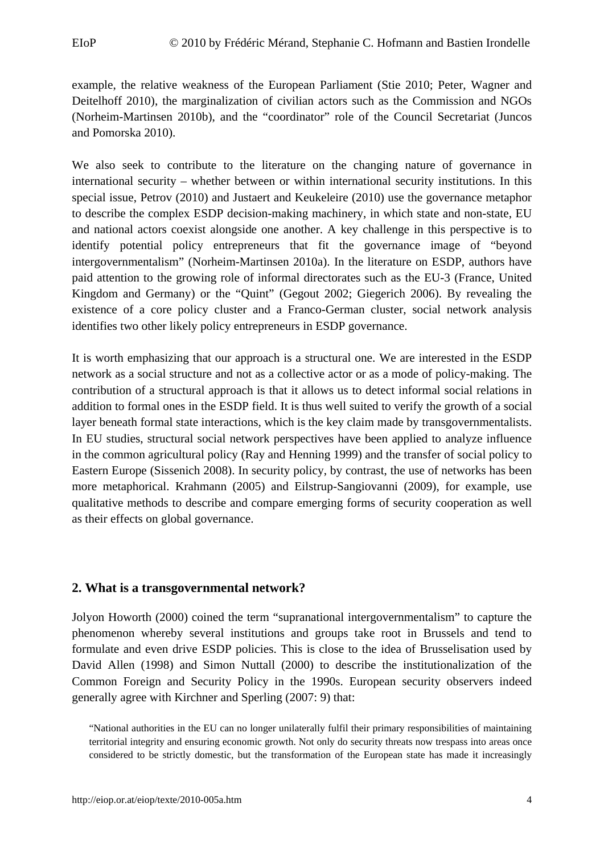<span id="page-4-0"></span>example, the relative weakness of the European Parliament (Stie 2010; Peter, Wagner and Deitelhoff 2010), the marginalization of civilian actors such as the Commission and NGOs (Norheim-Martinsen 2010b), and the "coordinator" role of the Council Secretariat (Juncos and Pomorska 2010).

We also seek to contribute to the literature on the changing nature of governance in international security – whether between or within international security institutions. In this special issue, Petrov (2010) and Justaert and Keukeleire (2010) use the governance metaphor to describe the complex ESDP decision-making machinery, in which state and non-state, EU and national actors coexist alongside one another. A key challenge in this perspective is to identify potential policy entrepreneurs that fit the governance image of "beyond intergovernmentalism" (Norheim-Martinsen 2010a). In the literature on ESDP, authors have paid attention to the growing role of informal directorates such as the EU-3 (France, United Kingdom and Germany) or the "Quint" (Gegout 2002; Giegerich 2006). By revealing the existence of a core policy cluster and a Franco-German cluster, social network analysis identifies two other likely policy entrepreneurs in ESDP governance.

It is worth emphasizing that our approach is a structural one. We are interested in the ESDP network as a social structure and not as a collective actor or as a mode of policy-making. The contribution of a structural approach is that it allows us to detect informal social relations in addition to formal ones in the ESDP field. It is thus well suited to verify the growth of a social layer beneath formal state interactions, which is the key claim made by transgovernmentalists. In EU studies, structural social network perspectives have been applied to analyze influence in the common agricultural policy (Ray and Henning 1999) and the transfer of social policy to Eastern Europe (Sissenich 2008). In security policy, by contrast, the use of networks has been more metaphorical. Krahmann (2005) and Eilstrup-Sangiovanni (2009), for example, use qualitative methods to describe and compare emerging forms of security cooperation as well as their effects on global governance.

#### **2. What is a transgovernmental network?**

Jolyon Howorth (2000) coined the term "supranational intergovernmentalism" to capture the phenomenon whereby several institutions and groups take root in Brussels and tend to formulate and even drive ESDP policies. This is close to the idea of Brusselisation used by David Allen (1998) and Simon Nuttall (2000) to describe the institutionalization of the Common Foreign and Security Policy in the 1990s. European security observers indeed generally agree with Kirchner and Sperling (2007: 9) that:

"National authorities in the EU can no longer unilaterally fulfil their primary responsibilities of maintaining territorial integrity and ensuring economic growth. Not only do security threats now trespass into areas once considered to be strictly domestic, but the transformation of the European state has made it increasingly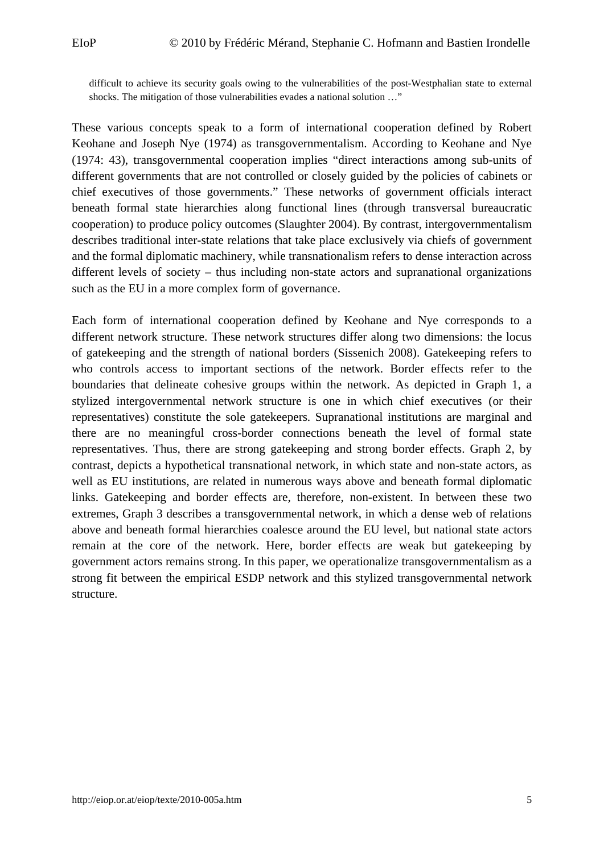<span id="page-5-0"></span>difficult to achieve its security goals owing to the vulnerabilities of the post-Westphalian state to external shocks. The mitigation of those vulnerabilities evades a national solution …"

These various concepts speak to a form of international cooperation defined by Robert Keohane and Joseph Nye (1974) as transgovernmentalism. According to Keohane and Nye (1974: 43), transgovernmental cooperation implies "direct interactions among sub-units of different governments that are not controlled or closely guided by the policies of cabinets or chief executives of those governments." These networks of government officials interact beneath formal state hierarchies along functional lines (through transversal bureaucratic cooperation) to produce policy outcomes (Slaughter 2004). By contrast, intergovernmentalism describes traditional inter-state relations that take place exclusively via chiefs of government and the formal diplomatic machinery, while transnationalism refers to dense interaction across different levels of society – thus including non-state actors and supranational organizations such as the EU in a more complex form of governance.

Each form of international cooperation defined by Keohane and Nye corresponds to a different network structure. These network structures differ along two dimensions: the locus of gatekeeping and the strength of national borders (Sissenich 2008). Gatekeeping refers to who controls access to important sections of the network. Border effects refer to the boundaries that delineate cohesive groups within the network. As depicted in Graph 1, a stylized intergovernmental network structure is one in which chief executives (or their representatives) constitute the sole gatekeepers. Supranational institutions are marginal and there are no meaningful cross-border connections beneath the level of formal state representatives. Thus, there are strong gatekeeping and strong border effects. Graph 2, by contrast, depicts a hypothetical transnational network, in which state and non-state actors, as well as EU institutions, are related in numerous ways above and beneath formal diplomatic links. Gatekeeping and border effects are, therefore, non-existent. In between these two extremes, Graph 3 describes a transgovernmental network, in which a dense web of relations above and beneath formal hierarchies coalesce around the EU level, but national state actors remain at the core of the network. Here, border effects are weak but gatekeeping by government actors remains strong. In this paper, we operationalize transgovernmentalism as a strong fit between the empirical ESDP network and this stylized transgovernmental network structure.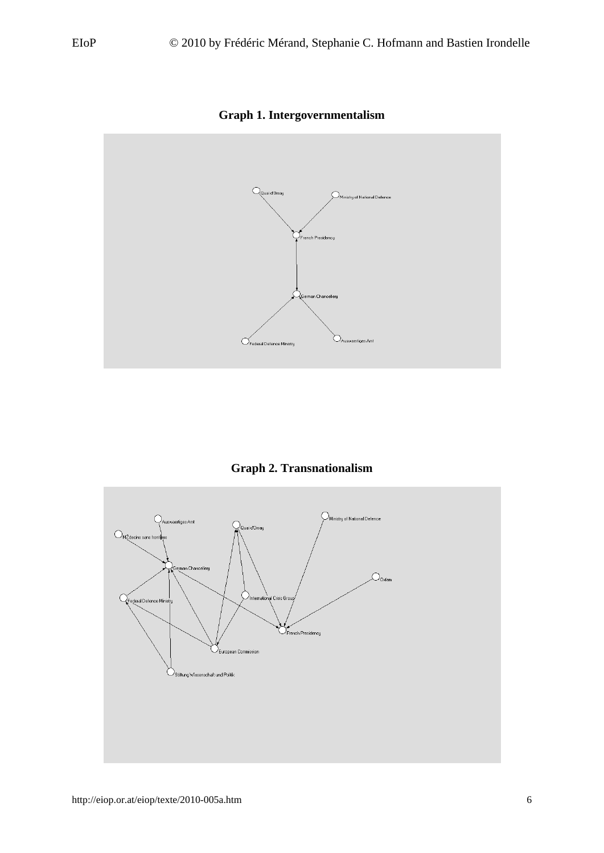<span id="page-6-0"></span>

**Graph 1. Intergovernmentalism** 



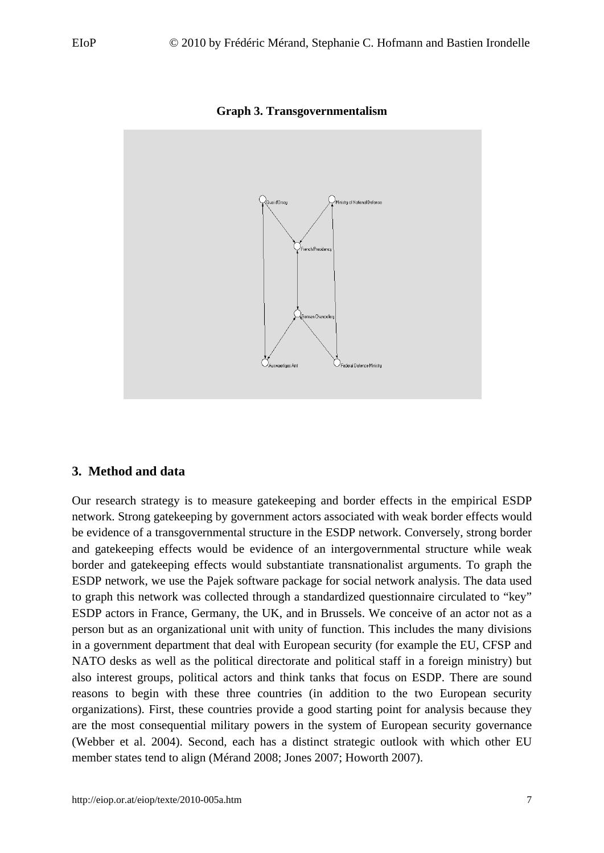<span id="page-7-1"></span><span id="page-7-0"></span>

**Graph 3. Transgovernmentalism**

#### **3. Method and data**

Our research strategy is to measure gatekeeping and border effects in the empirical ESDP network. Strong gatekeeping by government actors associated with weak border effects would be evidence of a transgovernmental structure in the ESDP network. Conversely, strong border and gatekeeping effects would be evidence of an intergovernmental structure while weak border and gatekeeping effects would substantiate transnationalist arguments. To graph the ESDP network, we use the Pajek software package for social network analysis. The data used to graph this network was collected through a standardized questionnaire circulated to "key" ESDP actors in France, Germany, the UK, and in Brussels. We conceive of an actor not as a person but as an organizational unit with unity of function. This includes the many divisions in a government department that deal with European security (for example the EU, CFSP and NATO desks as well as the political directorate and political staff in a foreign ministry) but also interest groups, political actors and think tanks that focus on ESDP. There are sound reasons to begin with these three countries (in addition to the two European security organizations). First, these countries provide a good starting point for analysis because they are the most consequential military powers in the system of European security governance (Webber et al. 2004). Second, each has a distinct strategic outlook with which other EU member states tend to align (Mérand 2008; Jones 2007; Howorth 2007).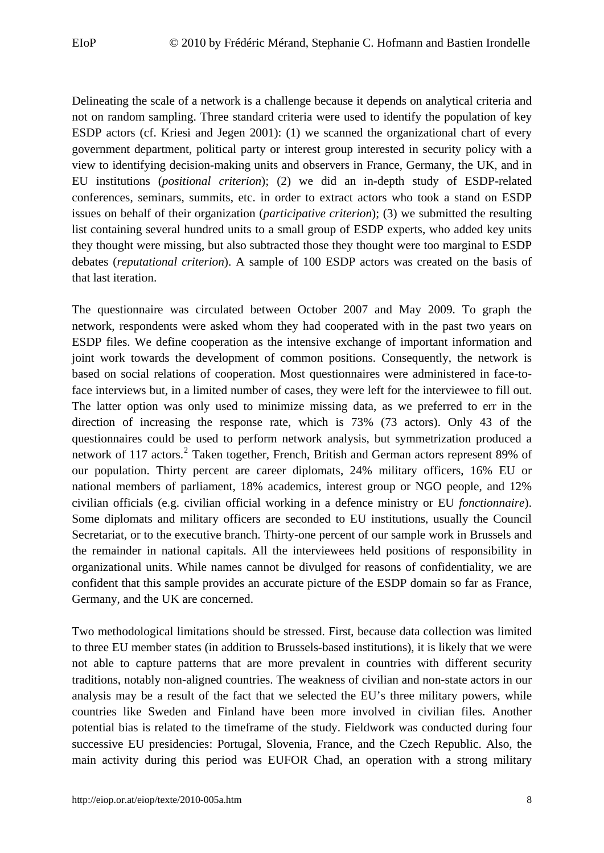Delineating the scale of a network is a challenge because it depends on analytical criteria and not on random sampling. Three standard criteria were used to identify the population of key ESDP actors (cf. Kriesi and Jegen 2001): (1) we scanned the organizational chart of every government department, political party or interest group interested in security policy with a view to identifying decision-making units and observers in France, Germany, the UK, and in EU institutions (*positional criterion*); (2) we did an in-depth study of ESDP-related conferences, seminars, summits, etc. in order to extract actors who took a stand on ESDP issues on behalf of their organization (*participative criterion*); (3) we submitted the resulting list containing several hundred units to a small group of ESDP experts, who added key units they thought were missing, but also subtracted those they thought were too marginal to ESDP debates (*reputational criterion*). A sample of 100 ESDP actors was created on the basis of that last iteration.

The questionnaire was circulated between October 2007 and May 2009. To graph the network, respondents were asked whom they had cooperated with in the past two years on ESDP files. We define cooperation as the intensive exchange of important information and joint work towards the development of common positions. Consequently, the network is based on social relations of cooperation. Most questionnaires were administered in face-toface interviews but, in a limited number of cases, they were left for the interviewee to fill out. The latter option was only used to minimize missing data, as we preferred to err in the direction of increasing the response rate, which is 73% (73 actors). Only 43 of the questionnaires could be used to perform network analysis, but symmetrization produced a network of 117 actors.<sup>[2](#page-19-1)</sup> Taken together, French, British and German actors represent 89% of our population. Thirty percent are career diplomats, 24% military officers, 16% EU or national members of parliament, 18% academics, interest group or NGO people, and 12% civilian officials (e.g. civilian official working in a defence ministry or EU *fonctionnaire*). Some diplomats and military officers are seconded to EU institutions, usually the Council Secretariat, or to the executive branch. Thirty-one percent of our sample work in Brussels and the remainder in national capitals. All the interviewees held positions of responsibility in organizational units. While names cannot be divulged for reasons of confidentiality, we are confident that this sample provides an accurate picture of the ESDP domain so far as France, Germany, and the UK are concerned.

Two methodological limitations should be stressed. First, because data collection was limited to three EU member states (in addition to Brussels-based institutions), it is likely that we were not able to capture patterns that are more prevalent in countries with different security traditions, notably non-aligned countries. The weakness of civilian and non-state actors in our analysis may be a result of the fact that we selected the EU's three military powers, while countries like Sweden and Finland have been more involved in civilian files. Another potential bias is related to the timeframe of the study. Fieldwork was conducted during four successive EU presidencies: Portugal, Slovenia, France, and the Czech Republic. Also, the main activity during this period was EUFOR Chad, an operation with a strong military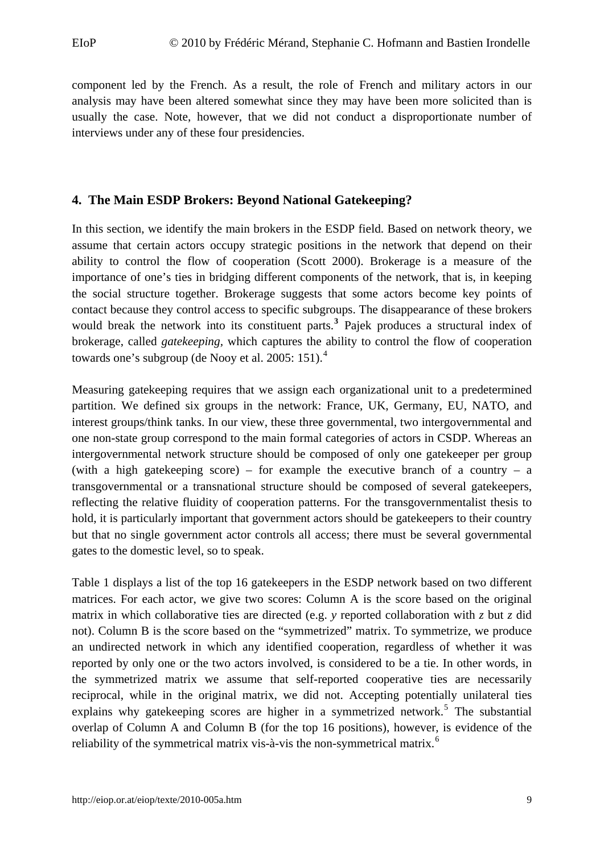<span id="page-9-0"></span>component led by the French. As a result, the role of French and military actors in our analysis may have been altered somewhat since they may have been more solicited than is usually the case. Note, however, that we did not conduct a disproportionate number of interviews under any of these four presidencies.

#### **4. The Main ESDP Brokers: Beyond National Gatekeeping?**

In this section, we identify the main brokers in the ESDP field. Based on network theory, we assume that certain actors occupy strategic positions in the network that depend on their ability to control the flow of cooperation (Scott 2000). Brokerage is a measure of the importance of one's ties in bridging different components of the network, that is, in keeping the social structure together. Brokerage suggests that some actors become key points of contact because they control access to specific subgroups. The disappearance of these brokers would break the network into its constituent parts.<sup>[3](#page-19-1)</sup> Pajek produces a structural index of brokerage, called *gatekeeping,* which captures the ability to control the flow of cooperation towards one's subgroup (de Nooy et al. 2005: 151).<sup>[4](#page-19-1)</sup>

Measuring gatekeeping requires that we assign each organizational unit to a predetermined partition. We defined six groups in the network: France, UK, Germany, EU, NATO, and interest groups/think tanks. In our view, these three governmental, two intergovernmental and one non-state group correspond to the main formal categories of actors in CSDP. Whereas an intergovernmental network structure should be composed of only one gatekeeper per group (with a high gatekeeping score) – for example the executive branch of a country – a transgovernmental or a transnational structure should be composed of several gatekeepers, reflecting the relative fluidity of cooperation patterns. For the transgovernmentalist thesis to hold, it is particularly important that government actors should be gatekeepers to their country but that no single government actor controls all access; there must be several governmental gates to the domestic level, so to speak.

Table 1 displays a list of the top 16 gatekeepers in the ESDP network based on two different matrices. For each actor, we give two scores: Column A is the score based on the original matrix in which collaborative ties are directed (e.g. *y* reported collaboration with *z* but *z* did not). Column B is the score based on the "symmetrized" matrix. To symmetrize, we produce an undirected network in which any identified cooperation, regardless of whether it was reported by only one or the two actors involved, is considered to be a tie. In other words, in the symmetrized matrix we assume that self-reported cooperative ties are necessarily reciprocal, while in the original matrix, we did not. Accepting potentially unilateral ties explains why gatekeeping scores are higher in a symmetrized network.<sup>[5](#page-19-1)</sup> The substantial overlap of Column A and Column B (for the top 16 positions), however, is evidence of the reliability of the symmetrical matrix vis-à-vis the non-symmetrical matrix.<sup>[6](#page-19-1)</sup>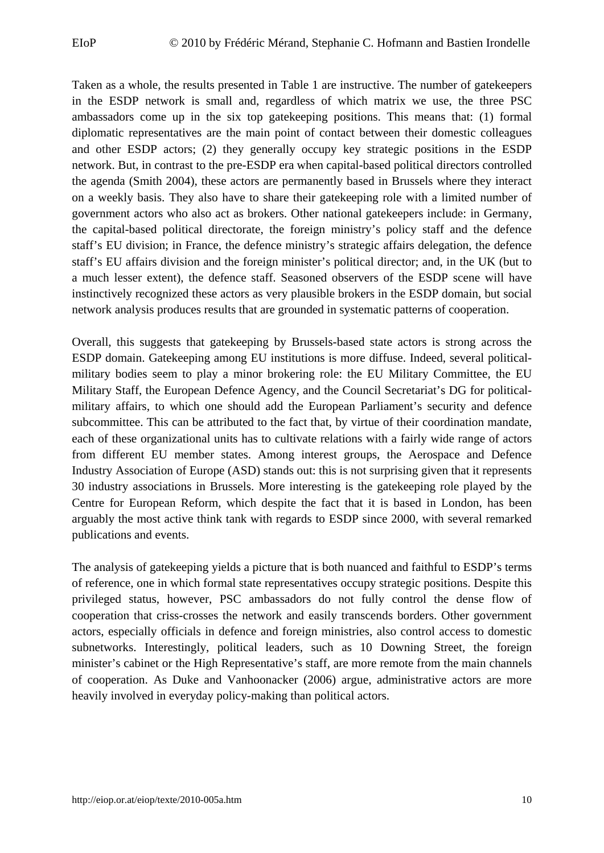Taken as a whole, the results presented in Table 1 are instructive. The number of gatekeepers in the ESDP network is small and, regardless of which matrix we use, the three PSC ambassadors come up in the six top gatekeeping positions. This means that: (1) formal diplomatic representatives are the main point of contact between their domestic colleagues and other ESDP actors; (2) they generally occupy key strategic positions in the ESDP network. But, in contrast to the pre-ESDP era when capital-based political directors controlled the agenda (Smith 2004), these actors are permanently based in Brussels where they interact on a weekly basis. They also have to share their gatekeeping role with a limited number of government actors who also act as brokers. Other national gatekeepers include: in Germany, the capital-based political directorate, the foreign ministry's policy staff and the defence staff's EU division; in France, the defence ministry's strategic affairs delegation, the defence staff's EU affairs division and the foreign minister's political director; and, in the UK (but to a much lesser extent), the defence staff. Seasoned observers of the ESDP scene will have instinctively recognized these actors as very plausible brokers in the ESDP domain, but social network analysis produces results that are grounded in systematic patterns of cooperation.

Overall, this suggests that gatekeeping by Brussels-based state actors is strong across the ESDP domain. Gatekeeping among EU institutions is more diffuse. Indeed, several politicalmilitary bodies seem to play a minor brokering role: the EU Military Committee, the EU Military Staff, the European Defence Agency, and the Council Secretariat's DG for politicalmilitary affairs, to which one should add the European Parliament's security and defence subcommittee. This can be attributed to the fact that, by virtue of their coordination mandate, each of these organizational units has to cultivate relations with a fairly wide range of actors from different EU member states. Among interest groups, the Aerospace and Defence Industry Association of Europe (ASD) stands out: this is not surprising given that it represents 30 industry associations in Brussels. More interesting is the gatekeeping role played by the Centre for European Reform, which despite the fact that it is based in London, has been arguably the most active think tank with regards to ESDP since 2000, with several remarked publications and events.

The analysis of gatekeeping yields a picture that is both nuanced and faithful to ESDP's terms of reference, one in which formal state representatives occupy strategic positions. Despite this privileged status, however, PSC ambassadors do not fully control the dense flow of cooperation that criss-crosses the network and easily transcends borders. Other government actors, especially officials in defence and foreign ministries, also control access to domestic subnetworks. Interestingly, political leaders, such as 10 Downing Street, the foreign minister's cabinet or the High Representative's staff, are more remote from the main channels of cooperation. As Duke and Vanhoonacker (2006) argue, administrative actors are more heavily involved in everyday policy-making than political actors.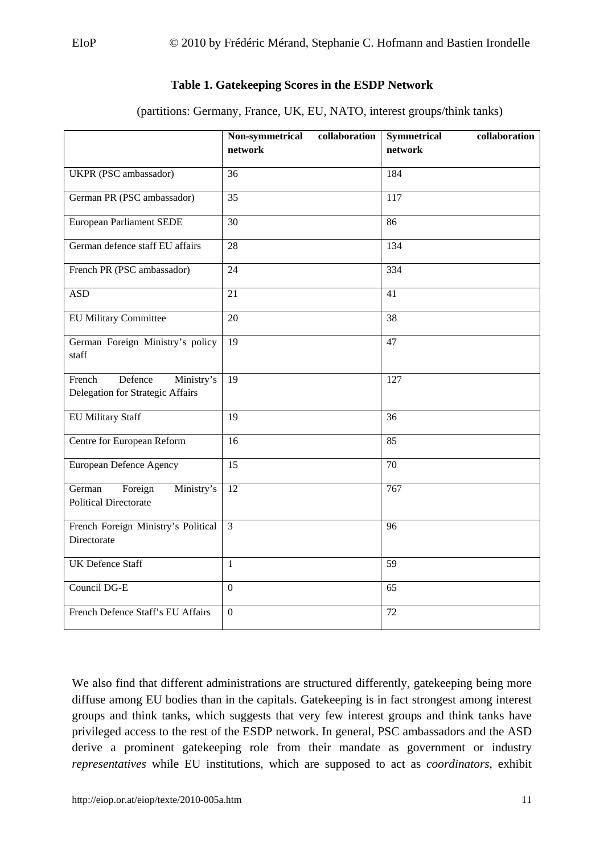#### **Table 1. Gatekeeping Scores in the ESDP Network**

(partitions: Germany, France, UK, EU, NATO, interest groups/think tanks)

<span id="page-11-0"></span>

|                                                                     | Non-symmetrical<br>collaboration<br>network | <b>Symmetrical</b><br>collaboration<br>network |
|---------------------------------------------------------------------|---------------------------------------------|------------------------------------------------|
| UKPR (PSC ambassador)                                               | 36                                          | 184                                            |
| German PR (PSC ambassador)                                          | 35                                          | 117                                            |
| <b>European Parliament SEDE</b>                                     | 30                                          | 86                                             |
| German defence staff EU affairs                                     | $\overline{28}$                             | 134                                            |
| French PR (PSC ambassador)                                          | $\overline{24}$                             | 334                                            |
| <b>ASD</b>                                                          | 21                                          | 41                                             |
| <b>EU Military Committee</b>                                        | 20                                          | 38                                             |
| German Foreign Ministry's policy<br>staff                           | 19                                          | 47                                             |
| French<br>Defence<br>Ministry's<br>Delegation for Strategic Affairs | 19                                          | 127                                            |
| <b>EU Military Staff</b>                                            | 19                                          | 36                                             |
| Centre for European Reform                                          | $\overline{16}$                             | 85                                             |
| European Defence Agency                                             | 15                                          | 70                                             |
| Foreign<br>Ministry's<br>German<br><b>Political Directorate</b>     | 12                                          | 767                                            |
| French Foreign Ministry's Political<br>Directorate                  | $\overline{3}$                              | $\overline{96}$                                |
| <b>UK Defence Staff</b>                                             | $\mathbf{1}$                                | 59                                             |
| Council DG-E                                                        | $\boldsymbol{0}$                            | 65                                             |
| French Defence Staff's EU Affairs                                   | $\boldsymbol{0}$                            | 72                                             |

We also find that different administrations are structured differently, gatekeeping being more diffuse among EU bodies than in the capitals. Gatekeeping is in fact strongest among interest groups and think tanks, which suggests that very few interest groups and think tanks have privileged access to the rest of the ESDP network. In general, PSC ambassadors and the ASD derive a prominent gatekeeping role from their mandate as government or industry *representatives* while EU institutions, which are supposed to act as *coordinators*, exhibit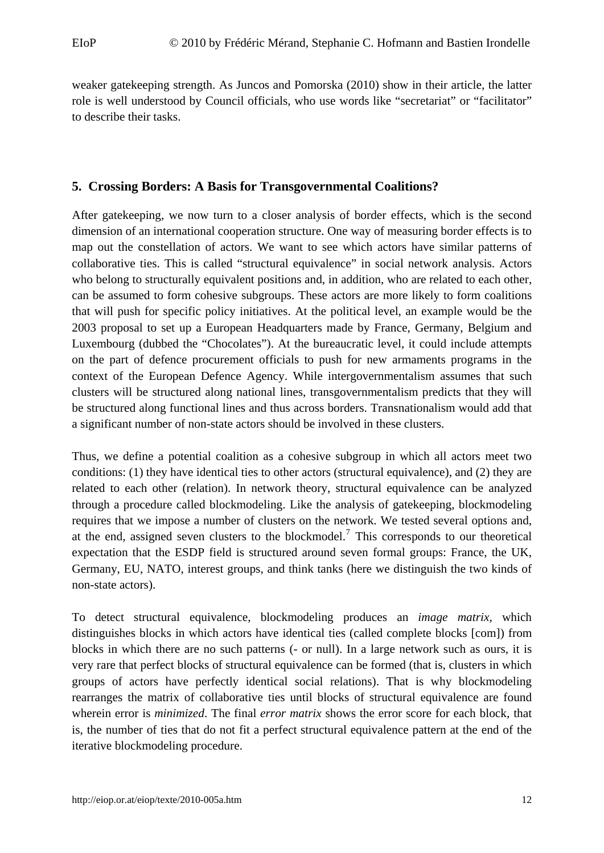<span id="page-12-0"></span>weaker gatekeeping strength. As Juncos and Pomorska (2010) show in their article, the latter role is well understood by Council officials, who use words like "secretariat" or "facilitator" to describe their tasks.

#### **5. Crossing Borders: A Basis for Transgovernmental Coalitions?**

After gatekeeping, we now turn to a closer analysis of border effects, which is the second dimension of an international cooperation structure. One way of measuring border effects is to map out the constellation of actors. We want to see which actors have similar patterns of collaborative ties. This is called "structural equivalence" in social network analysis. Actors who belong to structurally equivalent positions and, in addition, who are related to each other, can be assumed to form cohesive subgroups. These actors are more likely to form coalitions that will push for specific policy initiatives. At the political level, an example would be the 2003 proposal to set up a European Headquarters made by France, Germany, Belgium and Luxembourg (dubbed the "Chocolates"). At the bureaucratic level, it could include attempts on the part of defence procurement officials to push for new armaments programs in the context of the European Defence Agency. While intergovernmentalism assumes that such clusters will be structured along national lines, transgovernmentalism predicts that they will be structured along functional lines and thus across borders. Transnationalism would add that a significant number of non-state actors should be involved in these clusters.

Thus, we define a potential coalition as a cohesive subgroup in which all actors meet two conditions: (1) they have identical ties to other actors (structural equivalence), and (2) they are related to each other (relation). In network theory, structural equivalence can be analyzed through a procedure called blockmodeling. Like the analysis of gatekeeping, blockmodeling requires that we impose a number of clusters on the network. We tested several options and, at the end, assigned seven clusters to the blockmodel.<sup>[7](#page-19-1)</sup> This corresponds to our theoretical expectation that the ESDP field is structured around seven formal groups: France, the UK, Germany, EU, NATO, interest groups, and think tanks (here we distinguish the two kinds of non-state actors).

To detect structural equivalence, blockmodeling produces an *image matrix*, which distinguishes blocks in which actors have identical ties (called complete blocks [com]) from blocks in which there are no such patterns (- or null). In a large network such as ours, it is very rare that perfect blocks of structural equivalence can be formed (that is, clusters in which groups of actors have perfectly identical social relations). That is why blockmodeling rearranges the matrix of collaborative ties until blocks of structural equivalence are found wherein error is *minimized*. The final *error matrix* shows the error score for each block, that is, the number of ties that do not fit a perfect structural equivalence pattern at the end of the iterative blockmodeling procedure.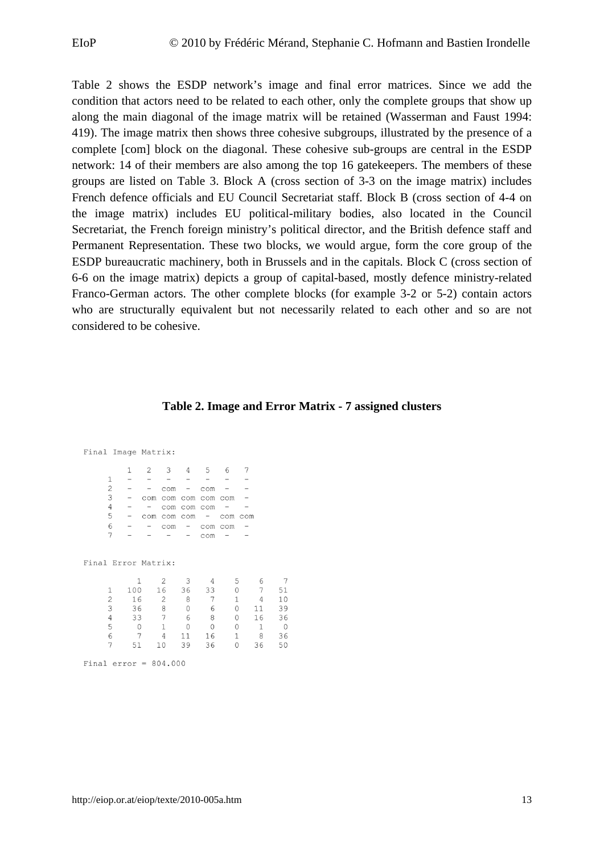<span id="page-13-0"></span>Table 2 shows the ESDP network's image and final error matrices. Since we add the condition that actors need to be related to each other, only the complete groups that show up along the main diagonal of the image matrix will be retained (Wasserman and Faust 1994: 419). The image matrix then shows three cohesive subgroups, illustrated by the presence of a complete [com] block on the diagonal. These cohesive sub-groups are central in the ESDP network: 14 of their members are also among the top 16 gatekeepers. The members of these groups are listed on Table 3. Block A (cross section of 3-3 on the image matrix) includes French defence officials and EU Council Secretariat staff. Block B (cross section of 4-4 on the image matrix) includes EU political-military bodies, also located in the Council Secretariat, the French foreign ministry's political director, and the British defence staff and Permanent Representation. These two blocks, we would argue, form the core group of the ESDP bureaucratic machinery, both in Brussels and in the capitals. Block C (cross section of 6-6 on the image matrix) depicts a group of capital-based, mostly defence ministry-related Franco-German actors. The other complete blocks (for example 3-2 or 5-2) contain actors who are structurally equivalent but not necessarily related to each other and so are not considered to be cohesive.

#### **Table 2. Image and Error Matrix - 7 assigned clusters**

Final Image Matrix:

|   | 2 | $\mathbf{B}$         |             | $\overline{ }$ |  |
|---|---|----------------------|-------------|----------------|--|
|   |   |                      |             |                |  |
| 2 |   |                      | $com -$     | COM            |  |
| 3 |   | com com com com com  |             |                |  |
| ⊿ |   |                      | com com com |                |  |
| 5 |   | $comcomcom - comcom$ |             |                |  |
|   |   |                      | $com -$     | com com        |  |
|   |   |                      |             | COM            |  |
|   |   |                      |             |                |  |

Final Error Matrix:

|   |     | 2              | 3  | 4        | 5              |    |                |
|---|-----|----------------|----|----------|----------------|----|----------------|
|   | 100 | 16             | 36 | 33       | 0              | 7  | 51             |
| 2 | 16  | $\overline{2}$ | 8  | 7        | $\overline{1}$ | 4  | 10             |
| २ | 36  | 8              | 0  | 6        | 0              | 11 | 39             |
| 4 | 33  |                | 6  | 8        | 0              | 16 | 36             |
| 5 | 0   |                | 0  | $\Omega$ | $\Omega$       |    | $\overline{0}$ |
| 6 |     | $\overline{4}$ | 11 | 16       | $\overline{1}$ | 8  | 36             |
|   | 51  | 10             | 39 | 36       | $\Omega$       | 36 | 50             |
|   |     |                |    |          |                |    |                |

Final error =  $804.000$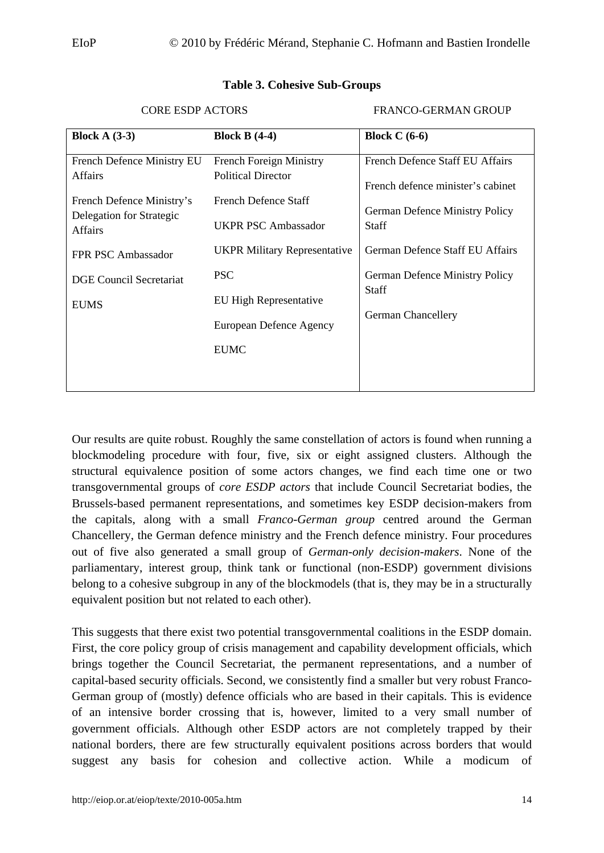<span id="page-14-0"></span>

| Block A $(3-3)$                                                                                                                                      | Block B $(4-4)$                                                                                                                                          | Block $C(6-6)$                                                                                                                                            |
|------------------------------------------------------------------------------------------------------------------------------------------------------|----------------------------------------------------------------------------------------------------------------------------------------------------------|-----------------------------------------------------------------------------------------------------------------------------------------------------------|
| French Defence Ministry EU<br><b>Affairs</b><br>French Defence Ministry's<br>Delegation for Strategic<br><b>Affairs</b><br><b>FPR PSC Ambassador</b> | <b>French Foreign Ministry</b><br><b>Political Director</b><br>French Defence Staff<br><b>UKPR PSC Ambassador</b><br><b>UKPR Military Representative</b> | French Defence Staff EU Affairs<br>French defence minister's cabinet<br><b>German Defence Ministry Policy</b><br>Staff<br>German Defence Staff EU Affairs |
| DGE Council Secretariat<br><b>EUMS</b>                                                                                                               | <b>PSC</b><br>EU High Representative<br>European Defence Agency<br><b>EUMC</b>                                                                           | <b>German Defence Ministry Policy</b><br>Staff<br><b>German Chancellery</b>                                                                               |

#### **Table 3. Cohesive Sub-Groups**

CORE ESDP ACTORS FRANCO-GERMAN GROUP

Our results are quite robust. Roughly the same constellation of actors is found when running a blockmodeling procedure with four, five, six or eight assigned clusters. Although the structural equivalence position of some actors changes, we find each time one or two transgovernmental groups of *core ESDP actors* that include Council Secretariat bodies, the Brussels-based permanent representations, and sometimes key ESDP decision-makers from the capitals, along with a small *Franco-German group* centred around the German Chancellery, the German defence ministry and the French defence ministry. Four procedures out of five also generated a small group of *German-only decision-makers*. None of the parliamentary, interest group, think tank or functional (non-ESDP) government divisions belong to a cohesive subgroup in any of the blockmodels (that is, they may be in a structurally equivalent position but not related to each other).

This suggests that there exist two potential transgovernmental coalitions in the ESDP domain. First, the core policy group of crisis management and capability development officials, which brings together the Council Secretariat, the permanent representations, and a number of capital-based security officials. Second, we consistently find a smaller but very robust Franco-German group of (mostly) defence officials who are based in their capitals. This is evidence of an intensive border crossing that is, however, limited to a very small number of government officials. Although other ESDP actors are not completely trapped by their national borders, there are few structurally equivalent positions across borders that would suggest any basis for cohesion and collective action. While a modicum of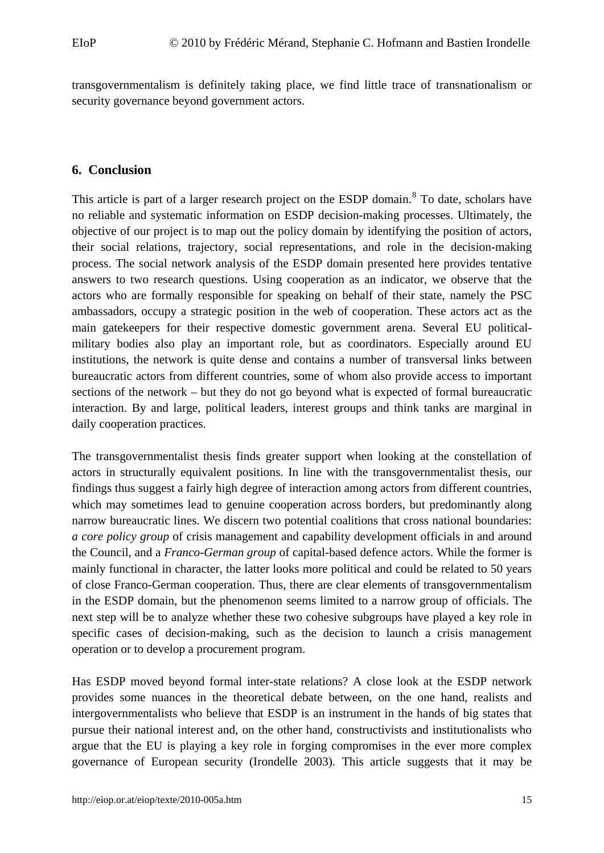<span id="page-15-0"></span>transgovernmentalism is definitely taking place, we find little trace of transnationalism or security governance beyond government actors.

#### **6. Conclusion**

This article is part of a larger research project on the ESDP domain.<sup>[8](#page-19-1)</sup> To date, scholars have no reliable and systematic information on ESDP decision-making processes. Ultimately, the objective of our project is to map out the policy domain by identifying the position of actors, their social relations, trajectory, social representations, and role in the decision-making process. The social network analysis of the ESDP domain presented here provides tentative answers to two research questions. Using cooperation as an indicator, we observe that the actors who are formally responsible for speaking on behalf of their state, namely the PSC ambassadors, occupy a strategic position in the web of cooperation. These actors act as the main gatekeepers for their respective domestic government arena. Several EU politicalmilitary bodies also play an important role, but as coordinators. Especially around EU institutions, the network is quite dense and contains a number of transversal links between bureaucratic actors from different countries, some of whom also provide access to important sections of the network – but they do not go beyond what is expected of formal bureaucratic interaction. By and large, political leaders, interest groups and think tanks are marginal in daily cooperation practices.

The transgovernmentalist thesis finds greater support when looking at the constellation of actors in structurally equivalent positions. In line with the transgovernmentalist thesis, our findings thus suggest a fairly high degree of interaction among actors from different countries, which may sometimes lead to genuine cooperation across borders, but predominantly along narrow bureaucratic lines. We discern two potential coalitions that cross national boundaries: *a core policy group* of crisis management and capability development officials in and around the Council, and a *Franco-German group* of capital-based defence actors. While the former is mainly functional in character, the latter looks more political and could be related to 50 years of close Franco-German cooperation. Thus, there are clear elements of transgovernmentalism in the ESDP domain, but the phenomenon seems limited to a narrow group of officials. The next step will be to analyze whether these two cohesive subgroups have played a key role in specific cases of decision-making, such as the decision to launch a crisis management operation or to develop a procurement program.

Has ESDP moved beyond formal inter-state relations? A close look at the ESDP network provides some nuances in the theoretical debate between, on the one hand, realists and intergovernmentalists who believe that ESDP is an instrument in the hands of big states that pursue their national interest and, on the other hand, constructivists and institutionalists who argue that the EU is playing a key role in forging compromises in the ever more complex governance of European security (Irondelle 2003). This article suggests that it may be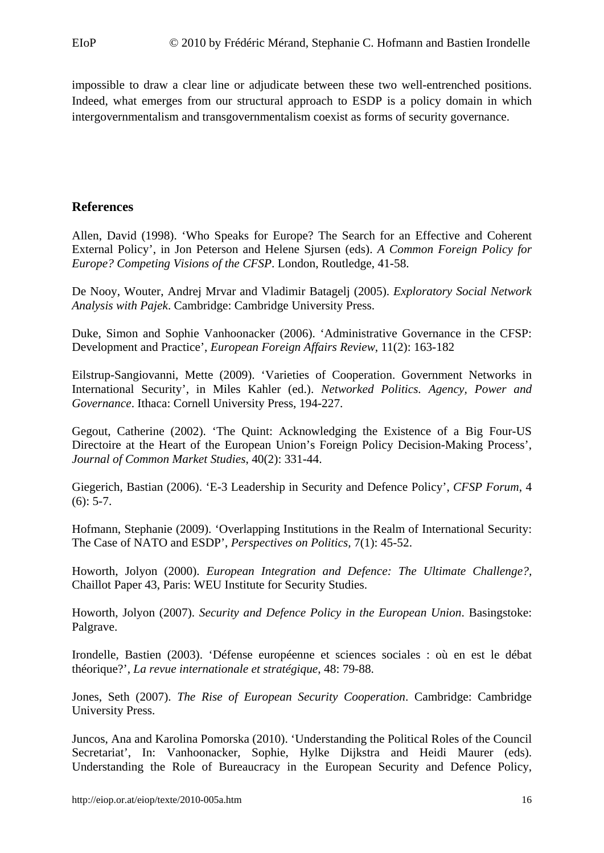<span id="page-16-0"></span>impossible to draw a clear line or adjudicate between these two well-entrenched positions. Indeed, what emerges from our structural approach to ESDP is a policy domain in which intergovernmentalism and transgovernmentalism coexist as forms of security governance.

#### **References**

Allen, David (1998). 'Who Speaks for Europe? The Search for an Effective and Coherent External Policy', in Jon Peterson and Helene Sjursen (eds). *A Common Foreign Policy for Europe? Competing Visions of the CFSP*. London, Routledge, 41-58.

De Nooy, Wouter, Andrej Mrvar and Vladimir Batagelj (2005). *Exploratory Social Network Analysis with Pajek*. Cambridge: Cambridge University Press.

Duke, Simon and Sophie Vanhoonacker (2006). 'Administrative Governance in the CFSP: Development and Practice', *European Foreign Affairs Review*, 11(2): 163-182

Eilstrup-Sangiovanni, Mette (2009). 'Varieties of Cooperation. Government Networks in International Security', in Miles Kahler (ed.). *Networked Politics. Agency, Power and Governance*. Ithaca: Cornell University Press, 194-227.

Gegout, Catherine (2002). 'The Quint: Acknowledging the Existence of a Big Four-US Directoire at the Heart of the European Union's Foreign Policy Decision-Making Process', *Journal of Common Market Studies*, 40(2): 331-44.

Giegerich, Bastian (2006). 'E-3 Leadership in Security and Defence Policy', *CFSP Forum*, 4  $(6)$ : 5-7.

Hofmann, Stephanie (2009). 'Overlapping Institutions in the Realm of International Security: The Case of NATO and ESDP', *Perspectives on Politics,* 7(1): 45-52.

Howorth, Jolyon (2000). *European Integration and Defence: The Ultimate Challenge?,* Chaillot Paper 43, Paris: WEU Institute for Security Studies.

Howorth, Jolyon (2007). *Security and Defence Policy in the European Union*. Basingstoke: Palgrave.

Irondelle, Bastien (2003). 'Défense européenne et sciences sociales : où en est le débat théorique?', *La revue internationale et stratégique*, 48: 79-88.

Jones, Seth (2007). *The Rise of European Security Cooperation*. Cambridge: Cambridge University Press.

Juncos, Ana and Karolina Pomorska (2010). 'Understanding the Political Roles of the Council Secretariat', In: Vanhoonacker, Sophie, Hylke Dijkstra and Heidi Maurer (eds). Understanding the Role of Bureaucracy in the European Security and Defence Policy,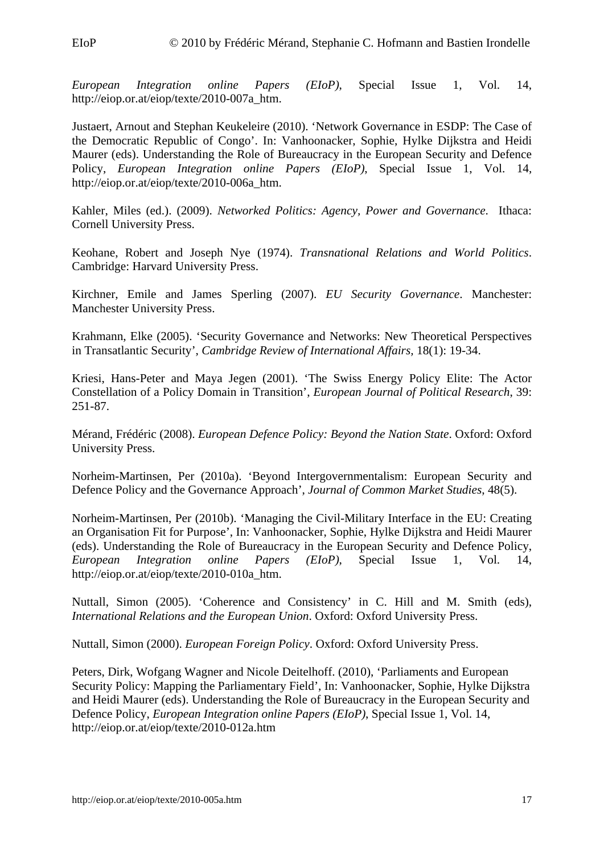*European Integration online Papers (EIoP)*, Special Issue 1, Vol. 14, [http://eiop.or.at/eiop/texte/2010-007a\\_htm.](http://eiop.or.at/eiop/texte/2010-007a_htm)

Justaert, Arnout and Stephan Keukeleire (2010). 'Network Governance in ESDP: The Case of the Democratic Republic of Congo'. In: Vanhoonacker, Sophie, Hylke Dijkstra and Heidi Maurer (eds). Understanding the Role of Bureaucracy in the European Security and Defence Policy, *European Integration online Papers (EIoP)*, Special Issue 1, Vol. 14, http://eiop.or.at/eiop/texte/2010-006a\_htm.

Kahler, Miles (ed.). (2009). *Networked Politics: Agency, Power and Governance*. Ithaca: Cornell University Press.

Keohane, Robert and Joseph Nye (1974). *Transnational Relations and World Politics*. Cambridge: Harvard University Press.

Kirchner, Emile and James Sperling (2007). *EU Security Governance*. Manchester: Manchester University Press.

Krahmann, Elke (2005). 'Security Governance and Networks: New Theoretical Perspectives in Transatlantic Security', *Cambridge Review of International Affairs,* 18(1): 19-34.

Kriesi, Hans-Peter and Maya Jegen (2001). 'The Swiss Energy Policy Elite: The Actor Constellation of a Policy Domain in Transition', *European Journal of Political Research*, 39: 251-87.

Mérand, Frédéric (2008). *European Defence Policy: Beyond the Nation State*. Oxford: Oxford University Press.

Norheim-Martinsen, Per (2010a). 'Beyond Intergovernmentalism: European Security and Defence Policy and the Governance Approach', *Journal of Common Market Studies*, 48(5).

Norheim-Martinsen, Per (2010b). 'Managing the Civil-Military Interface in the EU: Creating an Organisation Fit for Purpose', In: Vanhoonacker, Sophie, Hylke Dijkstra and Heidi Maurer (eds). Understanding the Role of Bureaucracy in the European Security and Defence Policy, *European Integration online Papers (EIoP)*, Special Issue 1, Vol. 14, http://eiop.or.at/eiop/texte/2010-010a\_htm.

Nuttall, Simon (2005). 'Coherence and Consistency' in C. Hill and M. Smith (eds), *International Relations and the European Union*. Oxford: Oxford University Press.

Nuttall, Simon (2000). *European Foreign Policy*. Oxford: Oxford University Press.

Peters, Dirk, Wofgang Wagner and Nicole Deitelhoff. (2010), 'Parliaments and European Security Policy: Mapping the Parliamentary Field', In: Vanhoonacker, Sophie, Hylke Dijkstra and Heidi Maurer (eds). Understanding the Role of Bureaucracy in the European Security and Defence Policy, *European Integration online Papers (EIoP)*, Special Issue 1, Vol. 14, http://eiop.or.at/eiop/texte/2010-012a.htm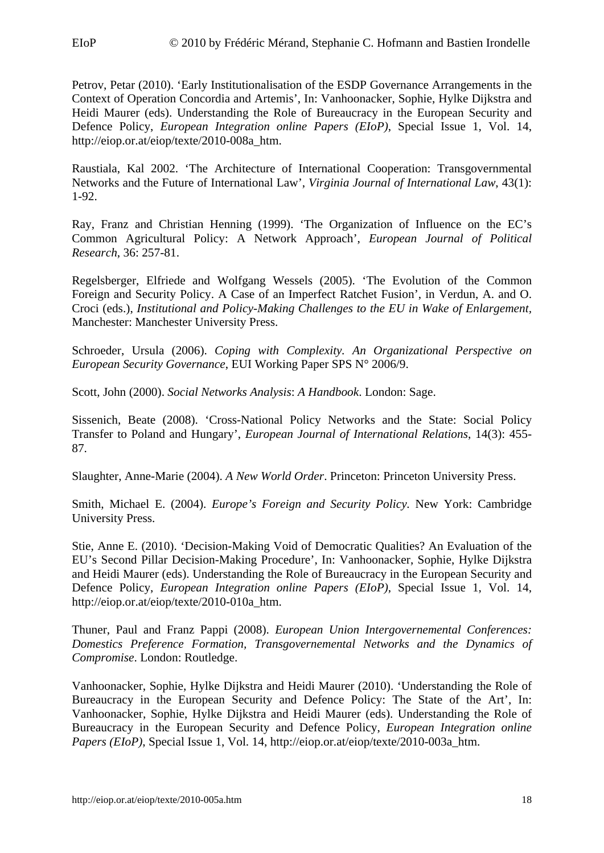Petrov, Petar (2010). 'Early Institutionalisation of the ESDP Governance Arrangements in the Context of Operation Concordia and Artemis', In: Vanhoonacker, Sophie, Hylke Dijkstra and Heidi Maurer (eds). Understanding the Role of Bureaucracy in the European Security and Defence Policy, *European Integration online Papers (EIoP)*, Special Issue 1, Vol. 14, [http://eiop.or.at/eiop/texte/2010-008a\\_htm.](http://eiop.or.at/eiop/texte/2010-008a_htm)

Raustiala, Kal 2002. 'The Architecture of International Cooperation: Transgovernmental Networks and the Future of International Law', *Virginia Journal of International Law*, 43(1): 1-92.

Ray, Franz and Christian Henning (1999). 'The Organization of Influence on the EC's Common Agricultural Policy: A Network Approach', *European Journal of Political Research*, 36: 257-81.

Regelsberger, Elfriede and Wolfgang Wessels (2005). 'The Evolution of the Common Foreign and Security Policy. A Case of an Imperfect Ratchet Fusion', in Verdun, A. and O. Croci (eds.), *Institutional and Policy-Making Challenges to the EU in Wake of Enlargement,* Manchester: Manchester University Press.

Schroeder, Ursula (2006). *Coping with Complexity. An Organizational Perspective on European Security Governance*, EUI Working Paper SPS N° 2006/9.

Scott, John (2000). *Social Networks Analysis*: *A Handbook*. London: Sage.

Sissenich, Beate (2008). 'Cross-National Policy Networks and the State: Social Policy Transfer to Poland and Hungary', *European Journal of International Relations*, 14(3): 455- 87.

Slaughter, Anne-Marie (2004). *A New World Order*. Princeton: Princeton University Press.

Smith, Michael E. (2004). *Europe's Foreign and Security Policy.* New York: Cambridge University Press.

Stie, Anne E. (2010). 'Decision-Making Void of Democratic Qualities? An Evaluation of the EU's Second Pillar Decision-Making Procedure', In: Vanhoonacker, Sophie, Hylke Dijkstra and Heidi Maurer (eds). Understanding the Role of Bureaucracy in the European Security and Defence Policy, *European Integration online Papers (EIoP)*, Special Issue 1, Vol. 14, http://eiop.or.at/eiop/texte/2010-010a\_htm.

Thuner, Paul and Franz Pappi (2008). *European Union Intergovernemental Conferences: Domestics Preference Formation, Transgovernemental Networks and the Dynamics of Compromise*. London: Routledge.

Vanhoonacker, Sophie, Hylke Dijkstra and Heidi Maurer (2010). 'Understanding the Role of Bureaucracy in the European Security and Defence Policy: The State of the Art', In: Vanhoonacker, Sophie, Hylke Dijkstra and Heidi Maurer (eds). Understanding the Role of Bureaucracy in the European Security and Defence Policy, *European Integration online Papers (EIoP)*, Special Issue 1, Vol. 14, http://eiop.or.at/eiop/texte/2010-003a htm.